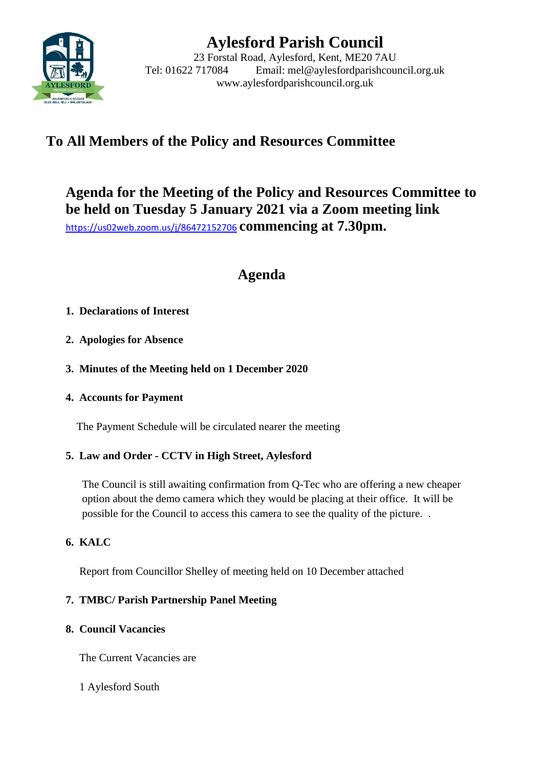

# **Aylesford Parish Council**

23 Forstal Road, Aylesford, Kent, ME20 7AU Tel: 01622 717084 Email: mel@aylesfordparishcouncil.org.uk www.aylesfordparishcouncil.org.uk

# **To All Members of the Policy and Resources Committee**

**Agenda for the Meeting of the Policy and Resources Committee to be held on Tuesday 5 January 2021 via a Zoom meeting link** <https://us02web.zoom.us/j/86472152706> **commencing at 7.30pm.**

# **Agenda**

## **1. Declarations of Interest**

- **2. Apologies for Absence**
- **3. Minutes of the Meeting held on 1 December 2020**
- **4. Accounts for Payment**

The Payment Schedule will be circulated nearer the meeting

#### **5. Law and Order - CCTV in High Street, Aylesford**

The Council is still awaiting confirmation from Q-Tec who are offering a new cheaper option about the demo camera which they would be placing at their office. It will be possible for the Council to access this camera to see the quality of the picture. .

# **6. KALC**

Report from Councillor Shelley of meeting held on 10 December attached

#### **7. TMBC/ Parish Partnership Panel Meeting**

#### **8. Council Vacancies**

The Current Vacancies are

1 Aylesford South